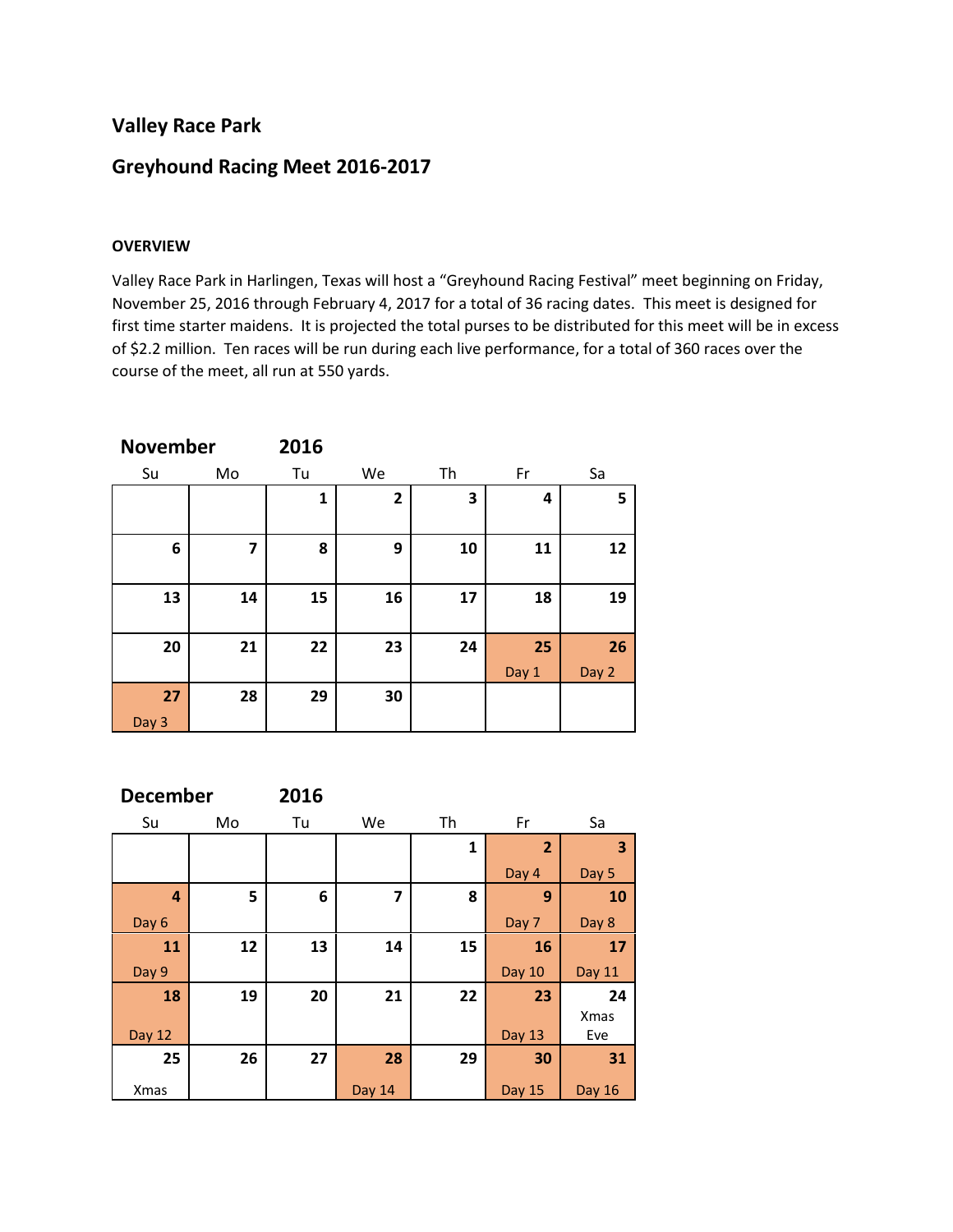## **Valley Race Park**

# **Greyhound Racing Meet 2016-2017**

## **OVERVIEW**

Valley Race Park in Harlingen, Texas will host a "Greyhound Racing Festival" meet beginning on Friday, November 25, 2016 through February 4, 2017 for a total of 36 racing dates. This meet is designed for first time starter maidens. It is projected the total purses to be distributed for this meet will be in excess of \$2.2 million. Ten races will be run during each live performance, for a total of 360 races over the course of the meet, all run at 550 yards.

| <b>November</b> |    | 2016 |              |    |       |       |
|-----------------|----|------|--------------|----|-------|-------|
| Su              | Mo | Tu   | We           | Th | Fr    | Sa    |
|                 |    | 1    | $\mathbf{2}$ | 3  | 4     | 5     |
| 6               | 7  | 8    | 9            | 10 | 11    | 12    |
| 13              | 14 | 15   | 16           | 17 | 18    | 19    |
| 20              | 21 | 22   | 23           | 24 | 25    | 26    |
|                 |    |      |              |    | Day 1 | Day 2 |
| 27              | 28 | 29   | 30           |    |       |       |
| Day 3           |    |      |              |    |       |       |

| <b>December</b> |    | 2016 |                         |    |                |               |
|-----------------|----|------|-------------------------|----|----------------|---------------|
| Su              | Mo | Tu   | We                      | Th | Fr             | Sa            |
|                 |    |      |                         | 1  | $\overline{2}$ | 3             |
|                 |    |      |                         |    | Day 4          | Day 5         |
| $\overline{a}$  | 5  | 6    | $\overline{\mathbf{z}}$ | 8  | 9              | 10            |
| Day 6           |    |      |                         |    | Day 7          | Day 8         |
| 11              | 12 | 13   | 14                      | 15 | 16             | 17            |
| Day 9           |    |      |                         |    | Day 10         | Day 11        |
| 18              | 19 | 20   | 21                      | 22 | 23             | 24            |
|                 |    |      |                         |    |                | <b>Xmas</b>   |
| Day 12          |    |      |                         |    | <b>Day 13</b>  | Eve           |
| 25              | 26 | 27   | 28                      | 29 | 30             | 31            |
| <b>Xmas</b>     |    |      | Day 14                  |    | <b>Day 15</b>  | <b>Day 16</b> |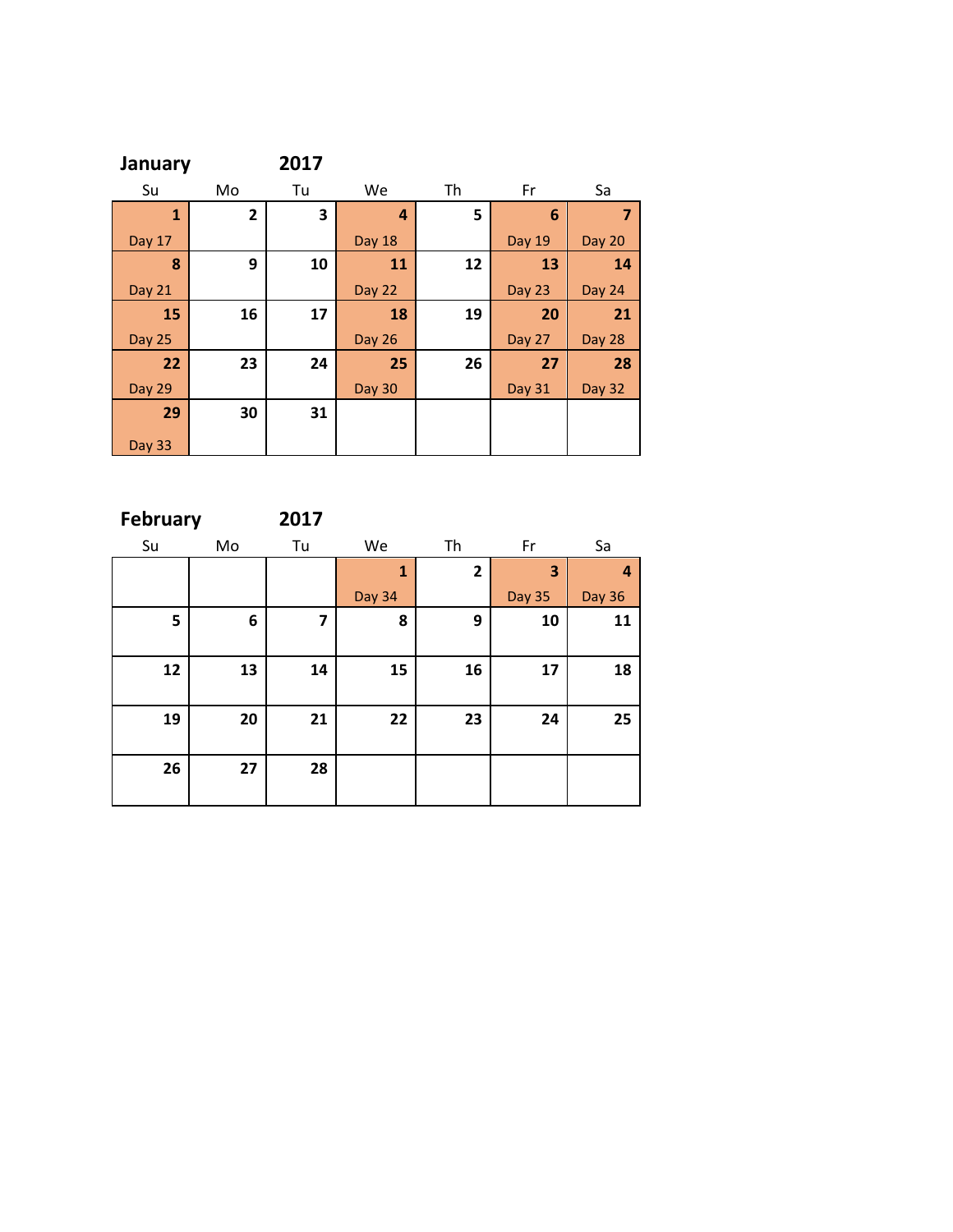| January       |                         | 2017 |               |    |               |                         |
|---------------|-------------------------|------|---------------|----|---------------|-------------------------|
| Su            | Mo                      | Tu   | We            | Th | Fr            | Sa                      |
| $\mathbf{1}$  | $\overline{\mathbf{2}}$ | 3    | 4             | 5  | 6             | $\overline{\mathbf{z}}$ |
| <b>Day 17</b> |                         |      | Day 18        |    | Day 19        | Day 20                  |
| 8             | 9                       | 10   | 11            | 12 | 13            | 14                      |
| <b>Day 21</b> |                         |      | Day 22        |    | Day 23        | <b>Day 24</b>           |
| 15            | 16                      | 17   | 18            | 19 | 20            | 21                      |
| <b>Day 25</b> |                         |      | <b>Day 26</b> |    | Day 27        | <b>Day 28</b>           |
| 22            | 23                      | 24   | 25            | 26 | 27            | 28                      |
| <b>Day 29</b> |                         |      | <b>Day 30</b> |    | <b>Day 31</b> | <b>Day 32</b>           |
| 29            | 30                      | 31   |               |    |               |                         |
| <b>Day 33</b> |                         |      |               |    |               |                         |

**February 2017**

| Su | Mo | Tu | We           | Th           | Fr            | Sa            |
|----|----|----|--------------|--------------|---------------|---------------|
|    |    |    | $\mathbf{1}$ | $\mathbf{2}$ | 3             | 4             |
|    |    |    | Day 34       |              | <b>Day 35</b> | <b>Day 36</b> |
| 5  | 6  | 7  | 8            | 9            | 10            | 11            |
|    |    |    |              |              |               |               |
| 12 | 13 | 14 | 15           | 16           | 17            | 18            |
|    |    |    |              |              |               |               |
| 19 | 20 | 21 | 22           | 23           | 24            | 25            |
|    |    |    |              |              |               |               |
| 26 | 27 | 28 |              |              |               |               |
|    |    |    |              |              |               |               |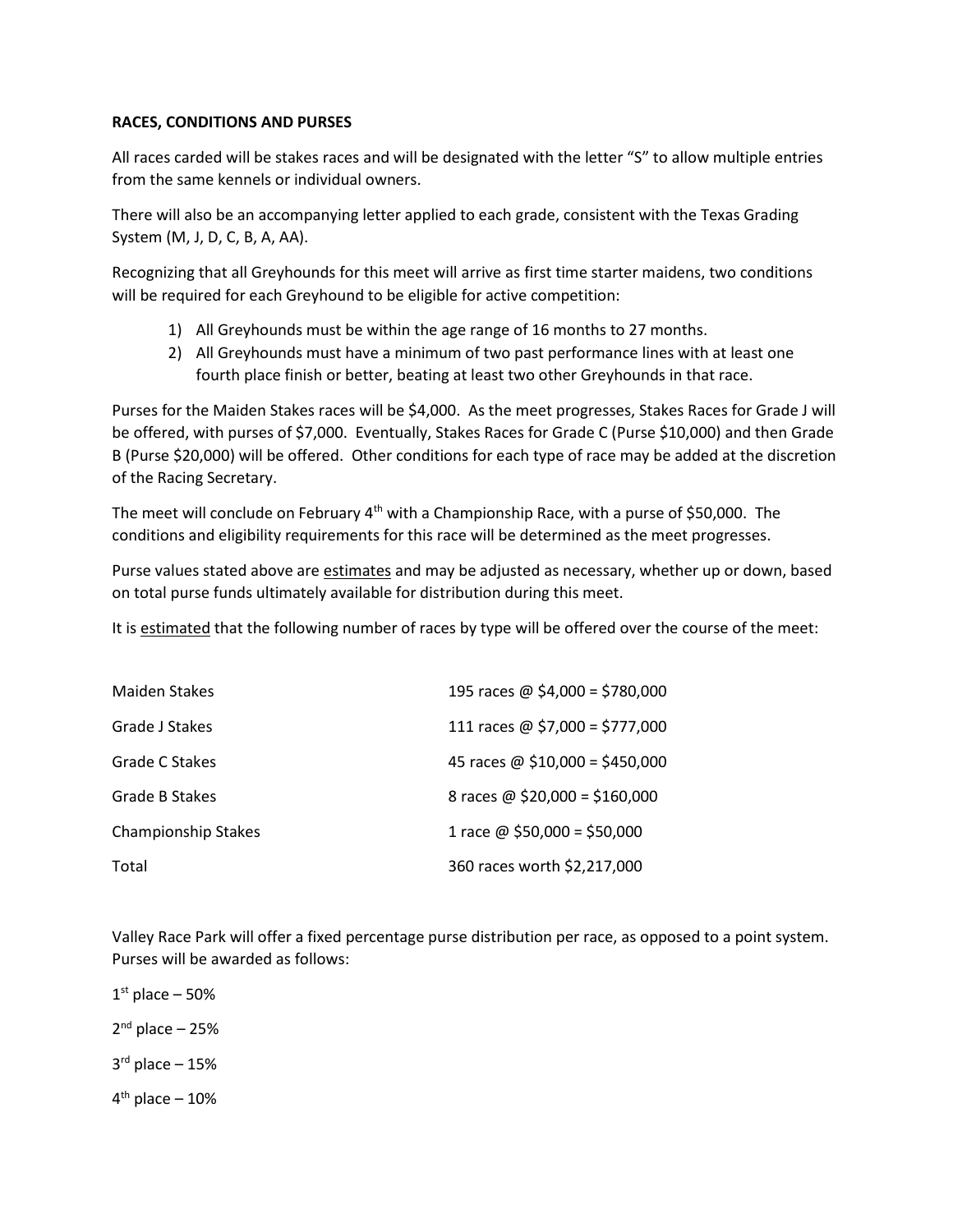## **RACES, CONDITIONS AND PURSES**

All races carded will be stakes races and will be designated with the letter "S" to allow multiple entries from the same kennels or individual owners.

There will also be an accompanying letter applied to each grade, consistent with the Texas Grading System (M, J, D, C, B, A, AA).

Recognizing that all Greyhounds for this meet will arrive as first time starter maidens, two conditions will be required for each Greyhound to be eligible for active competition:

- 1) All Greyhounds must be within the age range of 16 months to 27 months.
- 2) All Greyhounds must have a minimum of two past performance lines with at least one fourth place finish or better, beating at least two other Greyhounds in that race.

Purses for the Maiden Stakes races will be \$4,000. As the meet progresses, Stakes Races for Grade J will be offered, with purses of \$7,000. Eventually, Stakes Races for Grade C (Purse \$10,000) and then Grade B (Purse \$20,000) will be offered. Other conditions for each type of race may be added at the discretion of the Racing Secretary.

The meet will conclude on February  $4<sup>th</sup>$  with a Championship Race, with a purse of \$50,000. The conditions and eligibility requirements for this race will be determined as the meet progresses.

Purse values stated above are estimates and may be adjusted as necessary, whether up or down, based on total purse funds ultimately available for distribution during this meet.

It is estimated that the following number of races by type will be offered over the course of the meet:

| <b>Maiden Stakes</b>       | 195 races @ $$4,000 = $780,000$ |
|----------------------------|---------------------------------|
| Grade J Stakes             | 111 races @ \$7,000 = \$777,000 |
| Grade C Stakes             | 45 races @ \$10,000 = \$450,000 |
| Grade B Stakes             | 8 races @ $$20,000 = $160,000$  |
| <b>Championship Stakes</b> | 1 race @ $$50,000 = $50,000$    |
| Total                      | 360 races worth \$2,217,000     |

Valley Race Park will offer a fixed percentage purse distribution per race, as opposed to a point system. Purses will be awarded as follows:

 $1<sup>st</sup>$  place – 50% 2 nd place – 25% 3 rd place – 15% 4<sup>th</sup> place – 10%